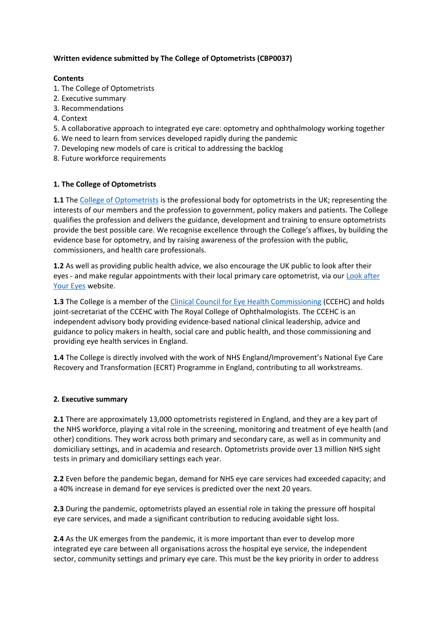# **Written evidence submitted by The College of Optometrists (CBP0037)**

### **Contents**

- 1. The College of Optometrists
- 2. Executive summary
- 3. Recommendations
- 4. Context
- 5. A collaborative approach to integrated eye care: optometry and ophthalmology working together
- 6. We need to learn from services developed rapidly during the pandemic
- 7. Developing new models of care is critical to addressing the backlog
- 8. Future workforce requirements

## **1. The College of Optometrists**

**1.1** The [College](https://www.college-optometrists.org/) [of](https://www.college-optometrists.org/) [Optometrists](https://www.college-optometrists.org/) is the professional body for optometrists in the UK; representing the interests of our members and the profession to government, policy makers and patients. The College qualifies the profession and delivers the guidance, development and training to ensure optometrists provide the best possible care. We recognise excellence through the College's affixes, by building the evidence base for optometry, and by raising awareness of the profession with the public, commissioners, and health care professionals.

**1.2** As well as providing public health advice, we also encourage the UK public to look after their eyes - and make regular appointments with their local primary care optometrist, via our [Look](https://lookafteryoureyes.org/) [after](https://lookafteryoureyes.org/) [Your](https://lookafteryoureyes.org/) [Eyes](https://lookafteryoureyes.org/) website.

**1.3** The College is a member of the *[Clinical](https://www.college-optometrists.org/the-college/ccehc.html) [Council](https://www.college-optometrists.org/the-college/ccehc.html) [for](https://www.college-optometrists.org/the-college/ccehc.html) [Eye](https://www.college-optometrists.org/the-college/ccehc.html) [Health](https://www.college-optometrists.org/the-college/ccehc.html) [Commissioning](https://www.college-optometrists.org/the-college/ccehc.html) (CCEHC)* and holds joint-secretariat of the CCEHC with The Royal College of Ophthalmologists. The CCEHC is an independent advisory body providing evidence-based national clinical leadership, advice and guidance to policy makers in health, social care and public health, and those commissioning and providing eye health services in England.

**1.4** The College is directly involved with the work of NHS England/Improvement's National Eye Care Recovery and Transformation (ECRT) Programme in England, contributing to all workstreams.

#### **2. Executive summary**

**2.1** There are approximately 13,000 optometrists registered in England, and they are a key part of the NHS workforce, playing a vital role in the screening, monitoring and treatment of eye health (and other) conditions. They work across both primary and secondary care, as well as in community and domiciliary settings, and in academia and research. Optometrists provide over 13 million NHS sight tests in primary and domiciliary settings each year.

**2.2** Even before the pandemic began, demand for NHS eye care services had exceeded capacity; and a 40% increase in demand for eye services is predicted over the next 20 years.

**2.3** During the pandemic, optometrists played an essential role in taking the pressure off hospital eye care services, and made a significant contribution to reducing avoidable sight loss.

**2.4** As the UK emerges from the pandemic, it is more important than ever to develop more integrated eye care between all organisations across the hospital eye service, the independent sector, community settings and primary eye care. This must be the key priority in order to address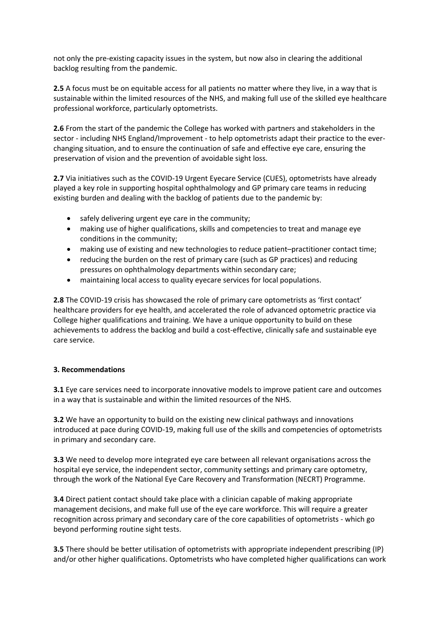not only the pre-existing capacity issues in the system, but now also in clearing the additional backlog resulting from the pandemic.

**2.5** A focus must be on equitable access for all patients no matter where they live, in a way that is sustainable within the limited resources of the NHS, and making full use of the skilled eye healthcare professional workforce, particularly optometrists.

**2.6** From the start of the pandemic the College has worked with partners and stakeholders in the sector - including NHS England/Improvement - to help optometrists adapt their practice to the everchanging situation, and to ensure the continuation of safe and effective eye care, ensuring the preservation of vision and the prevention of avoidable sight loss.

**2.7** Via initiatives such as the COVID-19 Urgent Eyecare Service (CUES), optometrists have already played a key role in supporting hospital ophthalmology and GP primary care teams in reducing existing burden and dealing with the backlog of patients due to the pandemic by:

- safely delivering urgent eye care in the community;
- making use of higher qualifications, skills and competencies to treat and manage eye conditions in the community;
- making use of existing and new technologies to reduce patient–practitioner contact time;
- reducing the burden on the rest of primary care (such as GP practices) and reducing pressures on ophthalmology departments within secondary care;
- maintaining local access to quality eyecare services for local populations.

**2.8** The COVID-19 crisis has showcased the role of primary care optometrists as 'first contact' healthcare providers for eye health, and accelerated the role of advanced optometric practice via College higher qualifications and training. We have a unique opportunity to build on these achievements to address the backlog and build a cost-effective, clinically safe and sustainable eye care service.

### **3. Recommendations**

**3.1** Eye care services need to incorporate innovative models to improve patient care and outcomes in a way that is sustainable and within the limited resources of the NHS.

**3.2** We have an opportunity to build on the existing new clinical pathways and innovations introduced at pace during COVID-19, making full use of the skills and competencies of optometrists in primary and secondary care.

**3.3** We need to develop more integrated eye care between all relevant organisations across the hospital eye service, the independent sector, community settings and primary care optometry, through the work of the National Eye Care Recovery and Transformation (NECRT) Programme.

**3.4** Direct patient contact should take place with a clinician capable of making appropriate management decisions, and make full use of the eye care workforce. This will require a greater recognition across primary and secondary care of the core capabilities of optometrists - which go beyond performing routine sight tests.

**3.5** There should be better utilisation of optometrists with appropriate independent prescribing (IP) and/or other higher qualifications. Optometrists who have completed higher qualifications can work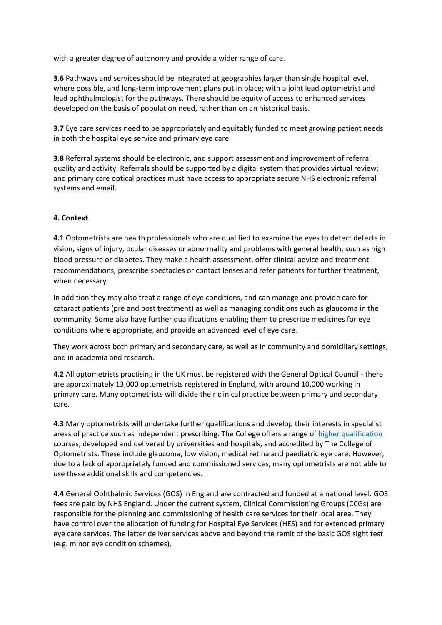with a greater degree of autonomy and provide a wider range of care.

**3.6** Pathways and services should be integrated at geographies larger than single hospital level, where possible, and long-term improvement plans put in place; with a joint lead optometrist and lead ophthalmologist for the pathways. There should be equity of access to enhanced services developed on the basis of population need, rather than on an historical basis.

**3.7** Eye care services need to be appropriately and equitably funded to meet growing patient needs in both the hospital eye service and primary eye care.

**3.8** Referral systems should be electronic, and support assessment and improvement of referral quality and activity. Referrals should be supported by a digital system that provides virtual review; and primary care optical practices must have access to appropriate secure NHS electronic referral systems and email.

## **4. Context**

**4.1** Optometrists are health professionals who are qualified to examine the eyes to detect defects in vision, signs of injury, ocular diseases or abnormality and problems with general health, such as high blood pressure or diabetes. They make a health assessment, offer clinical advice and treatment recommendations, prescribe spectacles or contact lenses and refer patients for further treatment, when necessary.

In addition they may also treat a range of eye conditions, and can manage and provide care for cataract patients (pre and post treatment) as well as managing conditions such as glaucoma in the community. Some also have further qualifications enabling them to prescribe medicines for eye conditions where appropriate, and provide an advanced level of eye care.

They work across both primary and secondary care, as well as in community and domiciliary settings, and in academia and research.

**4.2** All optometrists practising in the UK must be registered with the General Optical Council - there are approximately 13,000 optometrists registered in England, with around 10,000 working in primary care. Many optometrists will divide their clinical practice between primary and secondary care.

**4.3** Many optometrists will undertake further qualifications and develop their interests in specialist areas of practice such as independent prescribing. The College offers a range of [higher](https://www.college-optometrists.org/cpd-and-cet/training-and-qualifications/higher-qualifications.html) [qualification](https://www.college-optometrists.org/cpd-and-cet/training-and-qualifications/higher-qualifications.html) courses, developed and delivered by universities and hospitals, and accredited by The College of Optometrists. These include glaucoma, low vision, medical retina and paediatric eye care. However, due to a lack of appropriately funded and commissioned services, many optometrists are not able to use these additional skills and competencies.

**4.4** General Ophthalmic Services (GOS) in England are contracted and funded at a national level. GOS fees are paid by NHS England. Under the current system, Clinical Commissioning Groups (CCGs) are responsible for the planning and commissioning of health care services for their local area. They have control over the allocation of funding for Hospital Eye Services (HES) and for extended primary eye care services. The latter deliver services above and beyond the remit of the basic GOS sight test (e.g. minor eye condition schemes).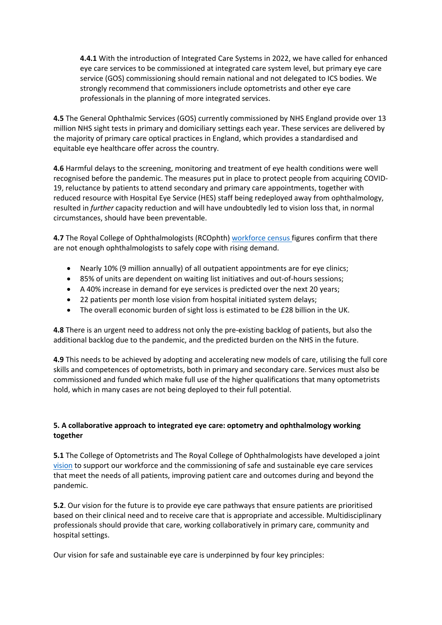**4.4.1** With the introduction of Integrated Care Systems in 2022, we have called for enhanced eye care services to be commissioned at integrated care system level, but primary eye care service (GOS) commissioning should remain national and not delegated to ICS bodies. We strongly recommend that commissioners include optometrists and other eye care professionals in the planning of more integrated services.

**4.5** The General Ophthalmic Services (GOS) currently commissioned by NHS England provide over 13 million NHS sight tests in primary and domiciliary settings each year. These services are delivered by the majority of primary care optical practices in England, which provides a standardised and equitable eye healthcare offer across the country.

**4.6** Harmful delays to the screening, monitoring and treatment of eye health conditions were well recognised before the pandemic. The measures put in place to protect people from acquiring COVID-19, reluctance by patients to attend secondary and primary care appointments, together with reduced resource with Hospital Eye Service (HES) staff being redeployed away from ophthalmology, resulted in *further* capacity reduction and will have undoubtedly led to vision loss that, in normal circumstances, should have been preventable.

**4.7** The Royal College of Ophthalmologists (RCOphth) [workforce](https://www.rcophth.ac.uk/2019/01/new-rcophth-workforce-census-illustrates-the-severe-shortage-of-eye-doctors-in-the-uk/) [census](https://www.rcophth.ac.uk/2019/01/new-rcophth-workforce-census-illustrates-the-severe-shortage-of-eye-doctors-in-the-uk/) figures confirm that there are not enough ophthalmologists to safely cope with rising demand.

- Nearly 10% (9 million annually) of all outpatient appointments are for eye clinics;
- 85% of units are dependent on waiting list initiatives and out-of-hours sessions;
- A 40% increase in demand for eye services is predicted over the next 20 years;
- 22 patients per month lose vision from hospital initiated system delays;
- The overall economic burden of sight loss is estimated to be £28 billion in the UK.

**4.8** There is an urgent need to address not only the pre-existing backlog of patients, but also the additional backlog due to the pandemic, and the predicted burden on the NHS in the future.

**4.9** This needs to be achieved by adopting and accelerating new models of care, utilising the full core skills and competences of optometrists, both in primary and secondary care. Services must also be commissioned and funded which make full use of the higher qualifications that many optometrists hold, which in many cases are not being deployed to their full potential.

# **5. A collaborative approach to integrated eye care: optometry and ophthalmology working together**

**5.1** The College of Optometrists and The Royal College of Ophthalmologists have developed a joint [vision](https://www.college-optometrists.org/the-college/media-hub/news-listing/new-joint-vision-eye-care-services-across-uk.html) to support our workforce and the commissioning of safe and sustainable eye care services that meet the needs of all patients, improving patient care and outcomes during and beyond the pandemic.

**5.2**. Our vision for the future is to provide eye care pathways that ensure patients are prioritised based on their clinical need and to receive care that is appropriate and accessible. Multidisciplinary professionals should provide that care, working collaboratively in primary care, community and hospital settings.

Our vision for safe and sustainable eye care is underpinned by four key principles: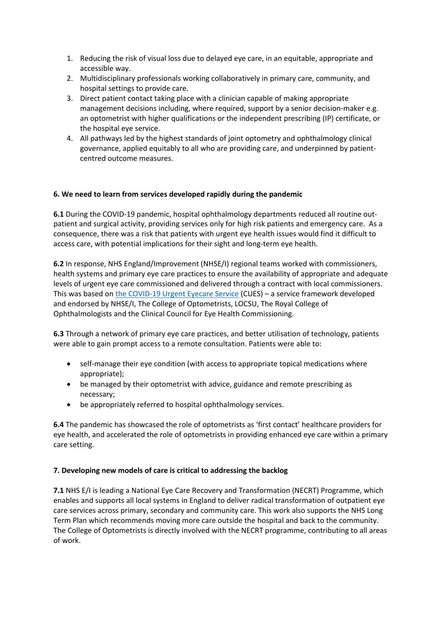- 1. Reducing the risk of visual loss due to delayed eye care, in an equitable, appropriate and accessible way.
- 2. Multidisciplinary professionals working collaboratively in primary care, community, and hospital settings to provide care.
- 3. Direct patient contact taking place with a clinician capable of making appropriate management decisions including, where required, support by a senior decision-maker e.g. an optometrist with higher qualifications or the independent prescribing (IP) certificate, or the hospital eye service.
- 4. All pathways led by the highest standards of joint optometry and ophthalmology clinical governance, applied equitably to all who are providing care, and underpinned by patientcentred outcome measures.

## **6. We need to learn from services developed rapidly during the pandemic**

**6.1** During the COVID-19 pandemic, hospital ophthalmology departments reduced all routine outpatient and surgical activity, providing services only for high risk patients and emergency care. As a consequence, there was a risk that patients with urgent eye health issues would find it difficult to access care, with potential implications for their sight and long-term eye health.

**6.2** In response, NHS England/Improvement (NHSE/I) regional teams worked with commissioners, health systems and primary eye care practices to ensure the availability of appropriate and adequate levels of urgent eye care commissioned and delivered through a contract with local commissioners. This was based on [the](https://www.college-optometrists.org/the-college/media-hub/news-listing/nhs-england-covid-19-urgent-eyecare-service-cues.html) [COVID-19](https://www.college-optometrists.org/the-college/media-hub/news-listing/nhs-england-covid-19-urgent-eyecare-service-cues.html) [Urgent](https://www.college-optometrists.org/the-college/media-hub/news-listing/nhs-england-covid-19-urgent-eyecare-service-cues.html) [Eyecare](https://www.college-optometrists.org/the-college/media-hub/news-listing/nhs-england-covid-19-urgent-eyecare-service-cues.html) [Service](https://www.college-optometrists.org/the-college/media-hub/news-listing/nhs-england-covid-19-urgent-eyecare-service-cues.html) (CUES) – a service framework developed and endorsed by NHSE/I, The College of Optometrists, LOCSU, The Royal College of Ophthalmologists and the Clinical Council for Eye Health Commissioning.

**6.3** Through a network of primary eye care practices, and better utilisation of technology, patients were able to gain prompt access to a remote consultation. Patients were able to:

- self-manage their eye condition (with access to appropriate topical medications where appropriate);
- be managed by their optometrist with advice, guidance and remote prescribing as necessary;
- be appropriately referred to hospital ophthalmology services.

**6.4** The pandemic has showcased the role of optometrists as 'first contact' healthcare providers for eye health, and accelerated the role of optometrists in providing enhanced eye care within a primary care setting.

#### **7. Developing new models of care is critical to addressing the backlog**

**7.1** NHS E/I is leading a National Eye Care Recovery and Transformation (NECRT) Programme, which enables and supports all local systems in England to deliver radical transformation of outpatient eye care services across primary, secondary and community care. This work also supports the NHS Long Term Plan which recommends moving more care outside the hospital and back to the community. The College of Optometrists is directly involved with the NECRT programme, contributing to all areas of work.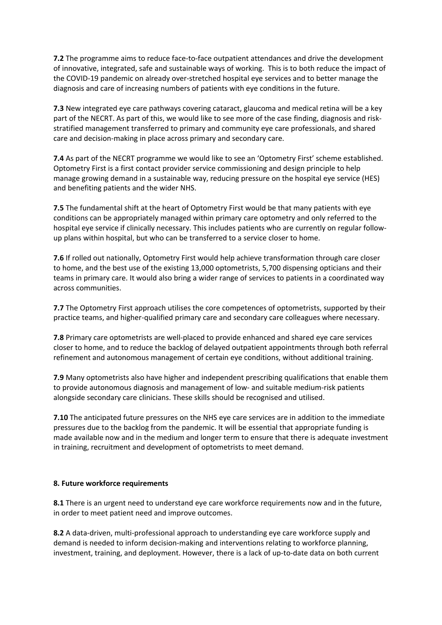**7.2** The programme aims to reduce face-to-face outpatient attendances and drive the development of innovative, integrated, safe and sustainable ways of working. This is to both reduce the impact of the COVID-19 pandemic on already over-stretched hospital eye services and to better manage the diagnosis and care of increasing numbers of patients with eye conditions in the future.

**7.3** New integrated eye care pathways covering cataract, glaucoma and medical retina will be a key part of the NECRT. As part of this, we would like to see more of the case finding, diagnosis and riskstratified management transferred to primary and community eye care professionals, and shared care and decision-making in place across primary and secondary care.

**7.4** As part of the NECRT programme we would like to see an 'Optometry First' scheme established. Optometry First is a first contact provider service commissioning and design principle to help manage growing demand in a sustainable way, reducing pressure on the hospital eye service (HES) and benefiting patients and the wider NHS.

**7.5** The fundamental shift at the heart of Optometry First would be that many patients with eye conditions can be appropriately managed within primary care optometry and only referred to the hospital eye service if clinically necessary. This includes patients who are currently on regular followup plans within hospital, but who can be transferred to a service closer to home.

**7.6** If rolled out nationally, Optometry First would help achieve transformation through care closer to home, and the best use of the existing 13,000 optometrists, 5,700 dispensing opticians and their teams in primary care. It would also bring a wider range of services to patients in a coordinated way across communities.

**7.7** The Optometry First approach utilises the core competences of optometrists, supported by their practice teams, and higher-qualified primary care and secondary care colleagues where necessary.

**7.8** Primary care optometrists are well-placed to provide enhanced and shared eye care services closer to home, and to reduce the backlog of delayed outpatient appointments through both referral refinement and autonomous management of certain eye conditions, without additional training.

**7.9** Many optometrists also have higher and independent prescribing qualifications that enable them to provide autonomous diagnosis and management of low- and suitable medium-risk patients alongside secondary care clinicians. These skills should be recognised and utilised.

**7.10** The anticipated future pressures on the NHS eye care services are in addition to the immediate pressures due to the backlog from the pandemic. It will be essential that appropriate funding is made available now and in the medium and longer term to ensure that there is adequate investment in training, recruitment and development of optometrists to meet demand.

#### **8. Future workforce requirements**

**8.1** There is an urgent need to understand eye care workforce requirements now and in the future, in order to meet patient need and improve outcomes.

**8.2** A data-driven, multi-professional approach to understanding eye care workforce supply and demand is needed to inform decision-making and interventions relating to workforce planning, investment, training, and deployment. However, there is a lack of up-to-date data on both current